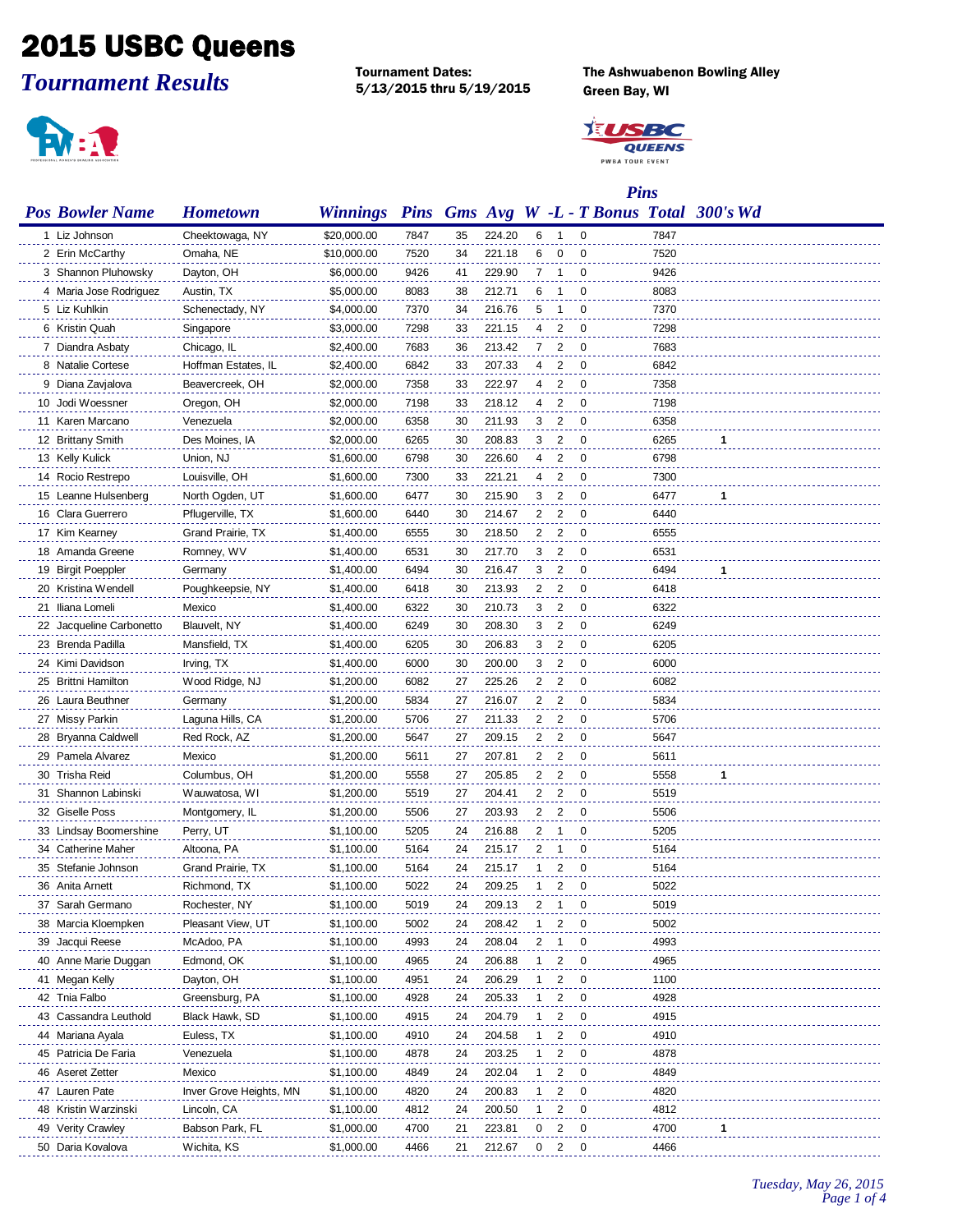## 2015 USBC Queens

*Tournament Results*

5/13/2015 thru 5/19/2015 Green Bay, WI

Tournament Dates: The Ashwuabenon Bowling Alley



 $\ddot{\phantom{a}}$ 

 $\sim$ 



|                          | <b>Pins</b>             |                 |      |    |        |                |                |                |      |                                            |
|--------------------------|-------------------------|-----------------|------|----|--------|----------------|----------------|----------------|------|--------------------------------------------|
| <b>Pos Bowler Name</b>   | <b>Hometown</b>         | <b>Winnings</b> |      |    |        |                |                |                |      | Pins Gms Avg W -L - T Bonus Total 300's Wd |
| 1 Liz Johnson            | Cheektowaga, NY         | \$20,000.00     | 7847 | 35 | 224.20 | 6              | $\overline{1}$ | $\mathbf 0$    | 7847 |                                            |
| 2 Erin McCarthy          | Omaha, NE               | \$10,000.00     | 7520 | 34 | 221.18 | 6              | 0              | 0              | 7520 |                                            |
| 3 Shannon Pluhowsky      | Dayton, OH              | \$6,000.00      | 9426 | 41 | 229.90 | 7              | $\overline{1}$ | 0              | 9426 |                                            |
| 4 Maria Jose Rodriguez   | Austin, TX              | \$5,000.00      | 8083 | 38 | 212.71 | 6              | 1              | 0              | 8083 |                                            |
| 5 Liz Kuhlkin            | Schenectady, NY         | \$4,000.00      | 7370 | 34 | 216.76 | 5              | 1              | 0              | 7370 |                                            |
| 6 Kristin Quah           | Singapore               | \$3,000.00      | 7298 | 33 | 221.15 | 4              | $\overline{2}$ | 0              | 7298 |                                            |
| 7 Diandra Asbaty         | Chicago, IL             | \$2,400.00      | 7683 | 36 | 213.42 | $\overline{7}$ | $\overline{2}$ | 0              | 7683 |                                            |
| 8 Natalie Cortese        | Hoffman Estates, IL     | \$2,400.00      | 6842 | 33 | 207.33 | 4              | $\overline{2}$ | 0              | 6842 |                                            |
| 9 Diana Zavjalova        | Beavercreek, OH         | \$2,000.00      | 7358 | 33 | 222.97 | 4              | 2              | 0              | 7358 |                                            |
| 10 Jodi Woessner         | Oregon, OH              | \$2,000.00      | 7198 | 33 | 218.12 | 4              | 2              | $\overline{0}$ | 7198 |                                            |
| 11 Karen Marcano         | Venezuela               | \$2,000.00      | 6358 | 30 | 211.93 | 3              | 2              | $\overline{0}$ | 6358 |                                            |
| 12 Brittany Smith        | Des Moines, IA          | \$2,000.00      | 6265 | 30 | 208.83 | 3              | 2              | $\overline{0}$ | 6265 | 1                                          |
| 13 Kelly Kulick          | Union, NJ               | \$1,600.00      | 6798 | 30 | 226.60 | 4              | 2              | $\overline{0}$ | 6798 |                                            |
| 14 Rocio Restrepo        | Louisville, OH          | \$1,600.00      | 7300 | 33 | 221.21 | 4              | 2              | $\overline{0}$ | 7300 |                                            |
| 15 Leanne Hulsenberg     | North Ogden, UT         | \$1,600.00      | 6477 | 30 | 215.90 | 3              | 2              | $\overline{0}$ | 6477 | 1                                          |
| 16 Clara Guerrero        | Pflugerville, TX        | \$1,600.00      | 6440 | 30 | 214.67 | $\mathbf{2}$   | 2              | $\overline{0}$ | 6440 |                                            |
| 17 Kim Kearney           | Grand Prairie, TX       | \$1,400.00      | 6555 | 30 | 218.50 | $\mathbf{2}$   | $\overline{2}$ | 0              | 6555 |                                            |
| 18 Amanda Greene         | Romney, WV              | \$1,400.00      | 6531 | 30 | 217.70 | 3              | 2              | 0              | 6531 |                                            |
| 19 Birgit Poeppler       | Germany                 | \$1,400.00      | 6494 | 30 | 216.47 | 3              | 2              | 0              | 6494 | 1                                          |
| 20 Kristina Wendell      | Poughkeepsie, NY        | \$1,400.00      | 6418 | 30 | 213.93 | $\mathbf{2}$   | 2              | 0              | 6418 |                                            |
| 21 Iliana Lomeli         | Mexico                  | \$1,400.00      | 6322 | 30 | 210.73 | 3              | 2              | 0              | 6322 |                                            |
| 22 Jacqueline Carbonetto | Blauvelt, NY            | \$1,400.00      | 6249 | 30 | 208.30 | 3              | 2              | 0              | 6249 |                                            |
| 23 Brenda Padilla        | Mansfield, TX           | \$1,400.00      | 6205 | 30 | 206.83 | 3              | 2              | 0              | 6205 |                                            |
| 24 Kimi Davidson         | Irving, TX              | \$1,400.00      | 6000 | 30 | 200.00 | 3              | 2              | 0              | 6000 |                                            |
| 25 Brittni Hamilton      | Wood Ridge, NJ          | \$1,200.00      | 6082 | 27 | 225.26 | $\mathbf{2}$   | 2              | 0              | 6082 |                                            |
| 26 Laura Beuthner        | Germany                 | \$1,200.00      | 5834 | 27 | 216.07 | $\mathbf{2}$   | 2              | 0              | 5834 |                                            |
| 27 Missy Parkin          | Laguna Hills, CA        | \$1,200.00      | 5706 | 27 | 211.33 | $\mathbf{2}$   | 2              | 0              | 5706 |                                            |
| 28 Bryanna Caldwell      | Red Rock, AZ            | \$1,200.00      | 5647 | 27 | 209.15 | $\mathbf{2}$   | $\overline{2}$ | 0              | 5647 |                                            |
| 29 Pamela Alvarez        | Mexico                  | \$1,200.00      | 5611 | 27 | 207.81 | $\mathbf{2}$   | $\overline{2}$ | 0              | 5611 |                                            |
| 30 Trisha Reid           | Columbus, OH            | \$1,200.00      | 5558 | 27 | 205.85 | $\mathbf{2}$   | $\overline{2}$ | 0              | 5558 | 1                                          |
| 31 Shannon Labinski      | Wauwatosa, WI           | \$1,200.00      | 5519 | 27 | 204.41 | $\mathbf{2}$   | 2              | 0              | 5519 |                                            |
| 32 Giselle Poss          | Montgomery, IL          | \$1,200.00      | 5506 | 27 | 203.93 | $\mathbf{2}$   | 2              | $\Omega$       | 5506 |                                            |
| 33 Lindsay Boomershine   | Perry, UT               | \$1,100.00      | 5205 | 24 | 216.88 | 2              | -1             | 0              | 5205 |                                            |
| 34 Catherine Maher       | Altoona, PA             | \$1,100.00      | 5164 | 24 | 215.17 | 2              | $\mathbf 1$    | $\Omega$       | 5164 |                                            |
| 35 Stefanie Johnson      | Grand Prairie, TX       | \$1,100.00      | 5164 | 24 | 215.17 | $1 \quad$      | 2              | $\Omega$       | 5164 |                                            |
| 36 Anita Arnett          | Richmond, TX            | \$1,100.00      | 5022 | 24 | 209.25 | 1              | 2              | 0              | 5022 |                                            |
| 37 Sarah Germano         | Rochester, NY           | \$1,100.00      | 5019 | 24 | 209.13 | 2              |                | O              | 5019 |                                            |
|                          | Pleasant View, UT       | \$1,100.00      |      | 24 |        | 1              | 2              | 0              | 5002 |                                            |
| 38 Marcia Kloempken      |                         |                 | 5002 | 24 | 208.42 | 2              | 1              | 0              |      |                                            |
| 39 Jacqui Reese          | McAdoo, PA              | \$1,100.00      | 4993 |    | 208.04 | $\mathbf{1}$   |                | 0              | 4993 |                                            |
| 40 Anne Marie Duggan     | Edmond, OK              | \$1,100.00      | 4965 | 24 | 206.88 | 1              | 2              | 0              | 4965 |                                            |
| 41 Megan Kelly           | Dayton, OH              | \$1,100.00      | 4951 | 24 | 206.29 |                | 2              | 0              | 1100 |                                            |
| 42 Tnia Falbo            | Greensburg, PA          | \$1,100.00      | 4928 | 24 | 205.33 | 1.             | 2              |                | 4928 |                                            |
| 43 Cassandra Leuthold    | Black Hawk, SD          | \$1,100.00      | 4915 | 24 | 204.79 | 1              | 2              | 0              | 4915 |                                            |
| 44 Mariana Ayala         | Euless, TX              | \$1,100.00      | 4910 | 24 | 204.58 | 1.             | 2              | 0              | 4910 |                                            |
| 45 Patricia De Faria     | Venezuela               | \$1,100.00      | 4878 | 24 | 203.25 | 1              | 2              | 0              | 4878 |                                            |
| 46 Aseret Zetter         | Mexico                  | \$1,100.00      | 4849 | 24 | 202.04 | 1              | 2              | 0              | 4849 |                                            |
| 47 Lauren Pate           | Inver Grove Heights, MN | \$1,100.00      | 4820 | 24 | 200.83 | $\mathbf{1}$   | 2              | 0              | 4820 |                                            |
| 48 Kristin Warzinski     | Lincoln, CA             | \$1,100.00      | 4812 | 24 | 200.50 | 1              | 2              | 0              | 4812 |                                            |
| 49 Verity Crawley        | Babson Park, FL         | \$1,000.00      | 4700 | 21 | 223.81 | $\mathbf{0}$   | 2              | 0              | 4700 | 1                                          |

Daria Kovalova Wichita, KS \$1,000.00 4466 21 212.67 0 2 0 4466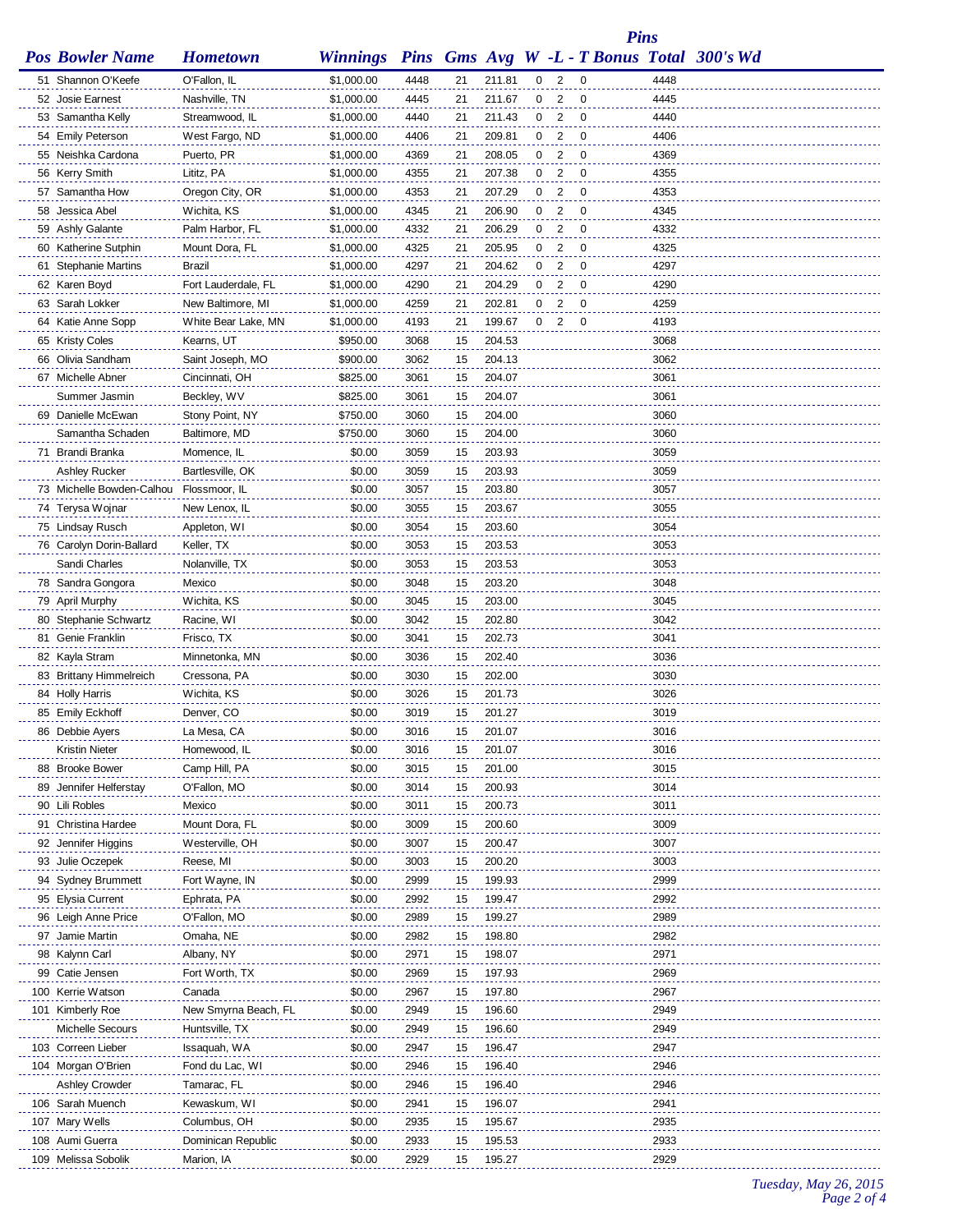*Pins*

| <b>Pos Bowler Name Hometown</b> |  |  |  |  |  | <b>Winnings Pins Gms Avg W -L - T Bonus Total 300's Wd</b> |  |  |
|---------------------------------|--|--|--|--|--|------------------------------------------------------------|--|--|
|---------------------------------|--|--|--|--|--|------------------------------------------------------------|--|--|

| 51 Shannon O'Keefe                                       | O'Fallon, IL             | \$1,000.00         | 4448         | 21       | 211.81           | 0              | $\overline{\phantom{a}}$   | - 0 | 4448         |
|----------------------------------------------------------|--------------------------|--------------------|--------------|----------|------------------|----------------|----------------------------|-----|--------------|
| 52 Josie Earnest                                         | Nashville, TN            | \$1,000.00         | 4445         | 21       | 211.67           | 0              | 2                          | 0   | 4445         |
| 53 Samantha Kelly                                        | Streamwood, IL           | \$1,000.00         | 4440         | 21       | 211.43           | $\mathbf{0}$   | $\overline{\phantom{0}}^2$ | 0   | 4440         |
| 54 Emily Peterson                                        | West Fargo, ND           | \$1,000.00         | 4406         | 21       | 209.81           | $\mathbf{0}$   | $\overline{2}$             | 0   | 4406         |
| 55 Neishka Cardona                                       | Puerto, PR               | \$1,000.00         | 4369         | 21       | 208.05           | $\mathbf{0}$   | $\overline{2}$             | -0  | 4369         |
| 56 Kerry Smith                                           | Lititz, PA               | \$1,000.00         | 4355         | 21       | 207.38           | $\mathbf{0}$   | 2                          | -0  | 4355         |
| 57 Samantha How                                          | Oregon City, OR          | \$1,000.00         | 4353         | 21       | 207.29           | $\mathbf{0}$   | $\overline{2}$             | 0   | 4353         |
| 58 Jessica Abel                                          | Wichita, KS              | \$1,000.00         | 4345         | 21       | 206.90           | $\mathbf{0}$   | $\overline{2}$             | 0   | 4345         |
| 59 Ashly Galante                                         | Palm Harbor, FL          | \$1,000.00         | 4332         | 21       | 206.29           | $\mathbf{0}$   | $\overline{2}$             | 0   | 4332         |
| 60 Katherine Sutphin                                     | Mount Dora, FL           | \$1,000.00         | 4325         | 21       | 205.95           | $\mathbf{0}$   | $\overline{2}$             | 0   | 4325         |
| 61 Stephanie Martins                                     | Brazil                   | \$1,000.00         | 4297         | 21       | 204.62           | $\mathbf{0}$   | 2                          | 0   | 4297         |
| 62 Karen Boyd                                            | Fort Lauderdale, FL      | \$1,000.00         | 4290         | 21       | 204.29           | 0              | 2                          | 0   | 4290         |
| 63 Sarah Lokker                                          | New Baltimore, MI        | \$1,000.00         | 4259         | 21       | 202.81           | 0              | $\overline{2}$             | 0   | 4259         |
| 64 Katie Anne Sopp                                       | White Bear Lake, MN      | \$1,000.00         | 4193         | 21       | 199.67           | 0 <sub>2</sub> |                            | 0   | 4193         |
| 65 Kristy Coles                                          | Kearns, UT               | \$950.00           | 3068         | 15       | 204.53           |                |                            |     | 3068         |
| 66 Olivia Sandham                                        | Saint Joseph, MO         | \$900.00           | 3062         | 15       | 204.13           |                |                            |     | 3062         |
| 67 Michelle Abner                                        | Cincinnati, OH           | \$825.00           | 3061         | 15       | 204.07           |                |                            |     | 3061         |
| Summer Jasmin                                            |                          |                    | 3061         |          | 204.07           |                |                            |     | 3061         |
|                                                          | Beckley, WV              | \$825.00           |              | 15       | 204.00           |                |                            |     | 3060         |
| 69 Danielle McEwan                                       | Stony Point, NY          | \$750.00           | 3060         | 15       | 204.00           |                |                            |     | 3060         |
| Samantha Schaden<br>71 Brandi Branka                     | Baltimore, MD            | \$750.00<br>\$0.00 | 3060<br>3059 | 15<br>15 | 203.93           |                |                            |     | 3059         |
|                                                          | Momence, IL              | \$0.00             | 3059         | 15       | 203.93           |                |                            |     | 3059         |
| Ashley Rucker<br>73 Michelle Bowden-Calhou Flossmoor, IL | Bartlesville, OK         |                    |              |          | 203.80           |                |                            |     |              |
|                                                          |                          | \$0.00             | 3057         | 15       |                  |                |                            |     | 3057         |
| 74 Terysa Wojnar                                         | New Lenox, IL            | \$0.00             | 3055         | 15       | 203.67           |                |                            |     | 3055         |
| 75 Lindsay Rusch                                         | Appleton, WI             | \$0.00             | 3054         | 15       | 203.60           |                |                            |     | 3054         |
| 76 Carolyn Dorin-Ballard                                 | Keller, TX               | \$0.00             | 3053         | 15       | 203.53           |                |                            |     | 3053         |
| Sandi Charles                                            | Nolanville, TX           | \$0.00             | 3053         | 15       | 203.53           |                |                            |     | 3053         |
| 78 Sandra Gongora                                        | Mexico                   | \$0.00             | 3048         | 15       | 203.20           |                |                            |     | 3048         |
| 79 April Murphy                                          | Wichita, KS              | \$0.00             | 3045         | 15       | 203.00           |                |                            |     | 3045         |
| 80 Stephanie Schwartz<br>81 Genie Franklin               | Racine, WI<br>Frisco, TX | \$0.00<br>\$0.00   | 3042<br>3041 | 15<br>15 | 202.80<br>202.73 |                |                            |     | 3042<br>3041 |
| 82 Kayla Stram                                           | Minnetonka, MN           | \$0.00             | 3036         | 15       | 202.40           |                |                            |     | 3036         |
| 83 Brittany Himmelreich                                  | Cressona, PA             | \$0.00             | 3030         | 15       | 202.00           |                |                            |     | 3030         |
| 84 Holly Harris                                          | Wichita, KS              | \$0.00             | 3026         | 15       | 201.73           |                |                            |     | 3026         |
| 85 Emily Eckhoff                                         | Denver, CO               | \$0.00             | 3019         | 15       | 201.27           |                |                            |     | 3019         |
| 86 Debbie Ayers                                          | La Mesa, CA              | \$0.00             | 3016         | 15       | 201.07           |                |                            |     | 3016         |
| <b>Kristin Nieter</b>                                    | Homewood, IL             | \$0.00             | 3016         | 15       | 201.07           |                |                            |     | 3016         |
| 88 Brooke Bower                                          | Camp Hill, PA            | \$0.00             | 3015         | 15       | 201.00           |                |                            |     | 3015         |
| 89 Jennifer Helferstay                                   | O'Fallon, MO             | \$0.00             | 3014         | 15       | 200.93           |                |                            |     | 3014         |
| 90 Lili Robles                                           | Mexico                   | \$0.00             | 3011         | 15       | 200.73           |                |                            |     | 3011         |
| 91 Christina Hardee                                      | Mount Dora, FL           | \$0.00             | 3009         | 15       | 200.60           |                |                            |     | 3009         |
| 92 Jennifer Higgins                                      | Westerville, OH          | \$0.00             | 3007         | 15       | 200.47           |                |                            |     | 3007         |
| 93 Julie Oczepek                                         | Reese, MI                | \$0.00             | 3003         | 15       | 200.20           |                |                            |     | 3003         |
| 94 Sydney Brummett                                       | Fort Wayne, IN           | \$0.00             | 2999         | 15       | 199.93           |                |                            |     | 2999         |
| 95 Elysia Current                                        | Ephrata, PA              | \$0.00             | 2992         | 15       | 199.47           |                |                            |     | 2992         |
| 96 Leigh Anne Price                                      | O'Fallon, MO             | \$0.00             | 2989         | 15       | 199.27           |                |                            |     | 2989         |
| 97 Jamie Martin                                          | Omaha, NE                | \$0.00             | 2982         | 15       | 198.80           |                |                            |     | 2982         |
| 98 Kalynn Carl                                           | Albany, NY               | \$0.00             | 2971         | 15       | 198.07           |                |                            |     | 2971         |
| 99 Catie Jensen                                          | Fort Worth, TX           | \$0.00             | 2969         | 15       | 197.93           |                |                            |     | 2969         |
| 100 Kerrie Watson                                        | Canada                   | \$0.00             | 2967         | 15       | 197.80           |                |                            |     | 2967         |
| 101 Kimberly Roe                                         | New Smyrna Beach, FL     | \$0.00             | 2949         | 15       | 196.60           |                |                            |     | 2949         |
| Michelle Secours                                         | Huntsville, TX           | \$0.00             | 2949         | 15       | 196.60           |                |                            |     | 2949         |
| 103 Correen Lieber                                       | Issaquah, WA             | \$0.00             | 2947         | 15       | 196.47           |                |                            |     | 2947         |
| 104 Morgan O'Brien                                       | Fond du Lac, WI          | \$0.00             | 2946         | 15       | 196.40           |                |                            |     | 2946         |
| <b>Ashley Crowder</b>                                    | Tamarac, FL              | \$0.00             | 2946         | 15       | 196.40           |                |                            |     | 2946         |
| 106 Sarah Muench                                         | Kewaskum, WI             | \$0.00             | 2941         | 15       | 196.07           |                |                            |     | 2941         |
| 107 Mary Wells                                           | Columbus, OH             | \$0.00             | 2935         | 15       | 195.67           |                |                            |     | 2935         |
| 108 Aumi Guerra                                          | Dominican Republic       | \$0.00             | 2933         | 15       | 195.53           |                |                            |     | 2933         |
| 109 Melissa Sobolik                                      | Marion, IA               | \$0.00             | 2929         | 15       | 195.27           |                |                            |     | 2929         |

*Tuesday, May 26, 2015 Page 2 of 4*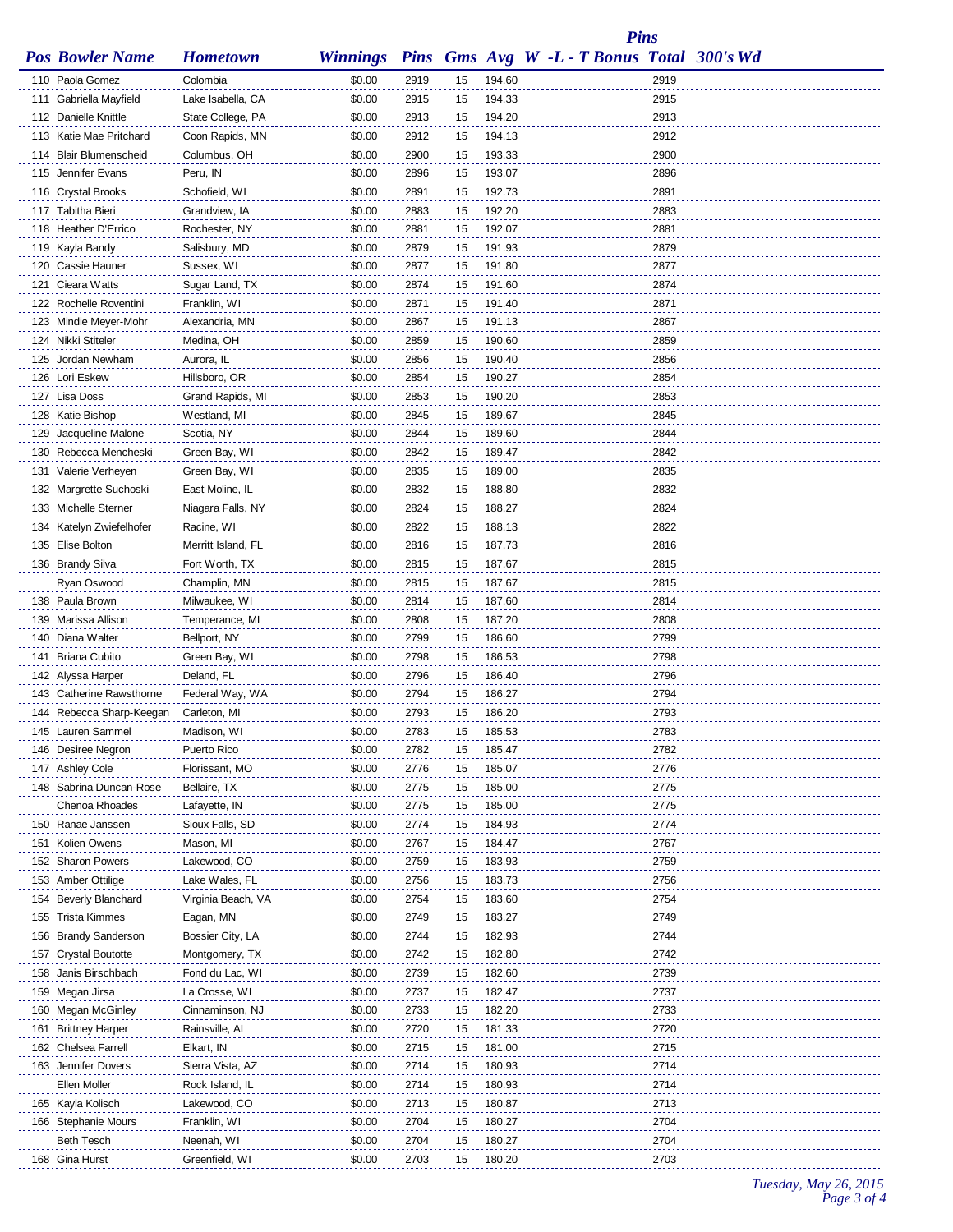## *Pins*

| ame | <b>Hometown</b> |
|-----|-----------------|
|     |                 |

|               | <b>Pos Bowler Name</b>   | <b>Hometown</b>    | <b>Winnings</b> |      |    |        | <b>Pins Gms Avg W -L - T Bonus Total 300's Wd</b> |      |  |
|---------------|--------------------------|--------------------|-----------------|------|----|--------|---------------------------------------------------|------|--|
|               | 110 Paola Gomez          | Colombia           | \$0.00          | 2919 | 15 | 194.60 |                                                   | 2919 |  |
|               | 111 Gabriella Mayfield   | Lake Isabella, CA  | \$0.00          | 2915 | 15 | 194.33 |                                                   | 2915 |  |
|               | 112 Danielle Knittle     | State College, PA  | \$0.00          | 2913 | 15 | 194.20 |                                                   | 2913 |  |
|               | 113 Katie Mae Pritchard  | Coon Rapids, MN    | \$0.00          | 2912 | 15 | 194.13 |                                                   | 2912 |  |
|               | 114 Blair Blumenscheid   | Columbus, OH       | \$0.00          | 2900 | 15 | 193.33 |                                                   | 2900 |  |
|               | 115 Jennifer Evans       | Peru, IN           |                 |      |    | 193.07 |                                                   | 2896 |  |
|               |                          |                    | \$0.00          | 2896 | 15 |        |                                                   |      |  |
|               | 116 Crystal Brooks       | Schofield, WI      | \$0.00          | 2891 | 15 | 192.73 |                                                   | 2891 |  |
|               | 117 Tabitha Bieri        | Grandview, IA      | \$0.00          | 2883 | 15 | 192.20 |                                                   | 2883 |  |
|               | 118 Heather D'Errico     | Rochester, NY      | \$0.00          | 2881 | 15 | 192.07 |                                                   | 2881 |  |
|               | 119 Kayla Bandy          | Salisbury, MD      | \$0.00          | 2879 | 15 | 191.93 |                                                   | 2879 |  |
|               | 120 Cassie Hauner        | Sussex, WI         | \$0.00          | 2877 | 15 | 191.80 |                                                   | 2877 |  |
|               | 121 Cieara Watts         | Sugar Land, TX     | \$0.00          | 2874 | 15 | 191.60 |                                                   | 2874 |  |
|               | 122 Rochelle Roventini   | Franklin, WI       | \$0.00          | 2871 | 15 | 191.40 |                                                   | 2871 |  |
|               | 123 Mindie Meyer-Mohr    | Alexandria, MN     | \$0.00          | 2867 | 15 | 191.13 |                                                   | 2867 |  |
|               | 124 Nikki Stiteler       | Medina, OH         | \$0.00          | 2859 | 15 | 190.60 |                                                   | 2859 |  |
|               | 125 Jordan Newham        | Aurora, IL         | \$0.00          | 2856 | 15 | 190.40 |                                                   | 2856 |  |
|               | 126 Lori Eskew           | Hillsboro, OR      | \$0.00          | 2854 | 15 | 190.27 |                                                   | 2854 |  |
| 127 Lisa Doss |                          | Grand Rapids, MI   | \$0.00          | 2853 | 15 | 190.20 |                                                   | 2853 |  |
|               | 128 Katie Bishop         | Westland, MI       | \$0.00          | 2845 | 15 | 189.67 |                                                   | 2845 |  |
|               | 129 Jacqueline Malone    | Scotia, NY         | \$0.00          | 2844 | 15 | 189.60 |                                                   | 2844 |  |
|               |                          |                    |                 |      |    | 189.47 |                                                   | 2842 |  |
|               | 130 Rebecca Mencheski    | Green Bay, WI      | \$0.00          | 2842 | 15 |        |                                                   |      |  |
|               | 131 Valerie Verheyen     | Green Bay, WI      | \$0.00          | 2835 | 15 | 189.00 |                                                   | 2835 |  |
|               | 132 Margrette Suchoski   | East Moline, IL    | \$0.00          | 2832 | 15 | 188.80 |                                                   | 2832 |  |
|               | 133 Michelle Sterner     | Niagara Falls, NY  | \$0.00          | 2824 | 15 | 188.27 |                                                   | 2824 |  |
|               | 134 Katelyn Zwiefelhofer | Racine, WI         | \$0.00          | 2822 | 15 | 188.13 |                                                   | 2822 |  |
|               | 135 Elise Bolton         | Merritt Island, FL | \$0.00          | 2816 | 15 | 187.73 |                                                   | 2816 |  |
|               | 136 Brandy Silva         | Fort Worth, TX     | \$0.00          | 2815 | 15 | 187.67 |                                                   | 2815 |  |
|               | Ryan Oswood              | Champlin, MN       | \$0.00          | 2815 | 15 | 187.67 |                                                   | 2815 |  |
|               | 138 Paula Brown          | Milwaukee, WI      | \$0.00          | 2814 | 15 | 187.60 |                                                   | 2814 |  |
|               | 139 Marissa Allison      | Temperance, MI     | \$0.00          | 2808 | 15 | 187.20 |                                                   | 2808 |  |
|               | 140 Diana Walter         | Bellport, NY       | \$0.00          | 2799 | 15 | 186.60 |                                                   | 2799 |  |
|               | 141 Briana Cubito        | Green Bay, WI      | \$0.00          | 2798 | 15 | 186.53 |                                                   | 2798 |  |
|               | 142 Alyssa Harper        | Deland, FL         | \$0.00          | 2796 | 15 | 186.40 |                                                   | 2796 |  |
|               | 143 Catherine Rawsthorne | Federal Way, WA    | \$0.00          | 2794 | 15 | 186.27 |                                                   | 2794 |  |
|               | 144 Rebecca Sharp-Keegan | Carleton, MI       | \$0.00          | 2793 | 15 | 186.20 |                                                   | 2793 |  |
|               | 145 Lauren Sammel        | Madison, WI        | \$0.00          | 2783 | 15 | 185.53 |                                                   | 2783 |  |
|               | 146 Desiree Negron       | Puerto Rico        | \$0.00          | 2782 | 15 | 185.47 |                                                   | 2782 |  |
|               |                          |                    |                 |      |    |        |                                                   |      |  |
|               | 147 Ashley Cole          | Florissant, MO     | \$0.00          | 2776 | 15 | 185.07 |                                                   | 2776 |  |
|               | 148 Sabrina Duncan-Rose  | Bellaire, TX       | \$0.00          | 2775 | 15 | 185.00 |                                                   | 2775 |  |
|               | Chenoa Rhoades           | Lafayette, IN      | \$0.00          | 2775 | 15 | 185.00 |                                                   | 2775 |  |
|               | 150 Ranae Janssen        | Sioux Falls, SD    | \$0.00          | 2774 | 15 | 184.93 |                                                   | 2774 |  |
|               | 151 Kolien Owens         | Mason, MI          | \$0.00          | 2767 | 15 | 184.47 |                                                   | 2767 |  |
|               | 152 Sharon Powers        | Lakewood, CO       | \$0.00          | 2759 | 15 | 183.93 |                                                   | 2759 |  |
|               | 153 Amber Ottilige       | Lake Wales, FL     | \$0.00          | 2756 | 15 | 183.73 |                                                   | 2756 |  |
|               | 154 Beverly Blanchard    | Virginia Beach, VA | \$0.00          | 2754 | 15 | 183.60 |                                                   | 2754 |  |
|               | 155 Trista Kimmes        | Eagan, MN          | \$0.00          | 2749 | 15 | 183.27 |                                                   | 2749 |  |
|               | 156 Brandy Sanderson     | Bossier City, LA   | \$0.00          | 2744 | 15 | 182.93 |                                                   | 2744 |  |
|               | 157 Crystal Boutotte     | Montgomery, TX     | \$0.00          | 2742 | 15 | 182.80 |                                                   | 2742 |  |
|               | 158 Janis Birschbach     | Fond du Lac, WI    | \$0.00          | 2739 | 15 | 182.60 |                                                   | 2739 |  |
|               | 159 Megan Jirsa          | La Crosse, WI      | \$0.00          | 2737 | 15 | 182.47 |                                                   | 2737 |  |
|               | 160 Megan McGinley       | Cinnaminson, NJ    | \$0.00          | 2733 | 15 | 182.20 |                                                   | 2733 |  |
|               | 161 Brittney Harper      | Rainsville, AL     | \$0.00          | 2720 | 15 | 181.33 |                                                   | 2720 |  |
|               | 162 Chelsea Farrell      |                    | \$0.00          | 2715 |    | 181.00 |                                                   | 2715 |  |
|               |                          | Elkart, IN         |                 |      | 15 |        |                                                   |      |  |
|               | 163 Jennifer Dovers      | Sierra Vista, AZ   | \$0.00          | 2714 | 15 | 180.93 |                                                   | 2714 |  |
|               | Ellen Moller             | Rock Island, IL    | \$0.00          | 2714 | 15 | 180.93 |                                                   | 2714 |  |
|               | 165 Kayla Kolisch        | Lakewood, CO       | \$0.00          | 2713 | 15 | 180.87 |                                                   | 2713 |  |
|               | 166 Stephanie Mours      | Franklin, WI       | \$0.00          | 2704 | 15 | 180.27 |                                                   | 2704 |  |
|               | Beth Tesch               | Neenah, WI         | \$0.00          | 2704 | 15 | 180.27 |                                                   | 2704 |  |
|               | 168 Gina Hurst           | Greenfield, WI     | \$0.00          | 2703 | 15 | 180.20 |                                                   | 2703 |  |